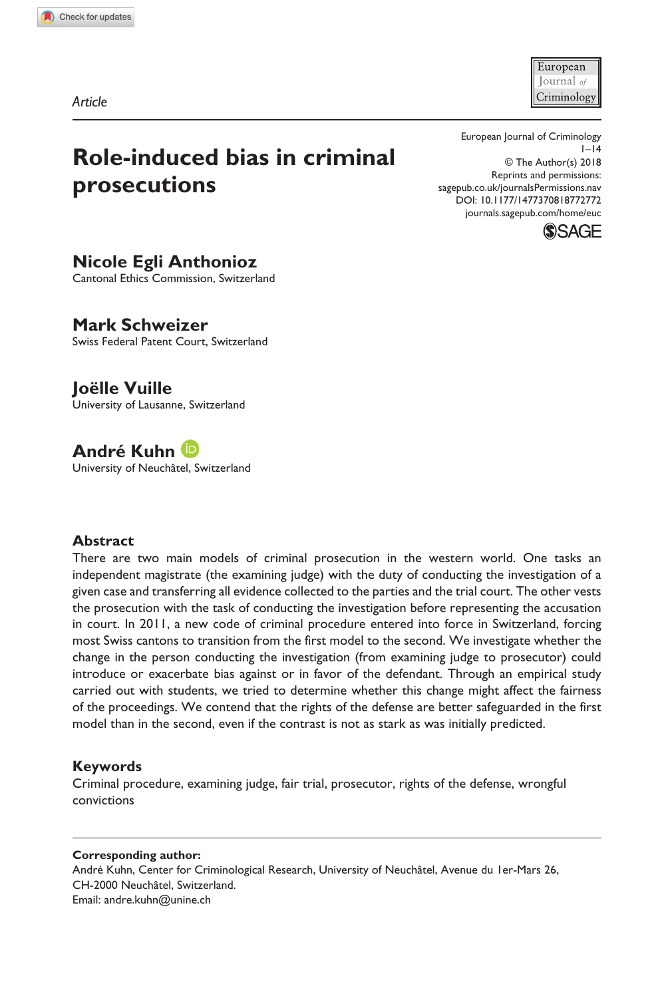**7727[72](http://crossmark.crossref.org/dialog/?doi=10.1177%2F1477370818772772&domain=pdf&date_stamp=2018-05-14)**EUC0010.1177/1477370818772772European Journal of Criminology**Egli Anthonioz et al.**

European Iournal  $\omega$ Criminology

# **Role-induced bias in criminal prosecutions**

DOI: 10.1177/1477370818772772 European Journal of Criminology  $I-I4$ © The Author(s) 2018 Reprints and permissions: [sagepub.co.uk/journalsPermissions.nav](https://uk.sagepub.com/en-gb/journals-permissions) [journals.sagepub.com/home/euc](https://journals.sagepub.com/home/euc)



## **Nicole Egli Anthonioz**

Cantonal Ethics Commission, Switzerland

# **Mark Schweizer**

Swiss Federal Patent Court, Switzerland

**Joëlle Vuille** University of Lausanne, Switzerland

**André Kuhn**  University of Neuchâtel, Switzerland

### **Abstract**

There are two main models of criminal prosecution in the western world. One tasks an independent magistrate (the examining judge) with the duty of conducting the investigation of a given case and transferring all evidence collected to the parties and the trial court. The other vests the prosecution with the task of conducting the investigation before representing the accusation in court. In 2011, a new code of criminal procedure entered into force in Switzerland, forcing most Swiss cantons to transition from the first model to the second. We investigate whether the change in the person conducting the investigation (from examining judge to prosecutor) could introduce or exacerbate bias against or in favor of the defendant. Through an empirical study carried out with students, we tried to determine whether this change might affect the fairness of the proceedings. We contend that the rights of the defense are better safeguarded in the first model than in the second, even if the contrast is not as stark as was initially predicted.

### **Keywords**

Criminal procedure, examining judge, fair trial, prosecutor, rights of the defense, wrongful convictions

#### **Corresponding author:**

André Kuhn, Center for Criminological Research, University of Neuchâtel, Avenue du 1er-Mars 26, CH-2000 Neuchâtel, Switzerland. Email: [andre.kuhn@unine.ch](mailto:andre.kuhn@unine.ch)

*Article*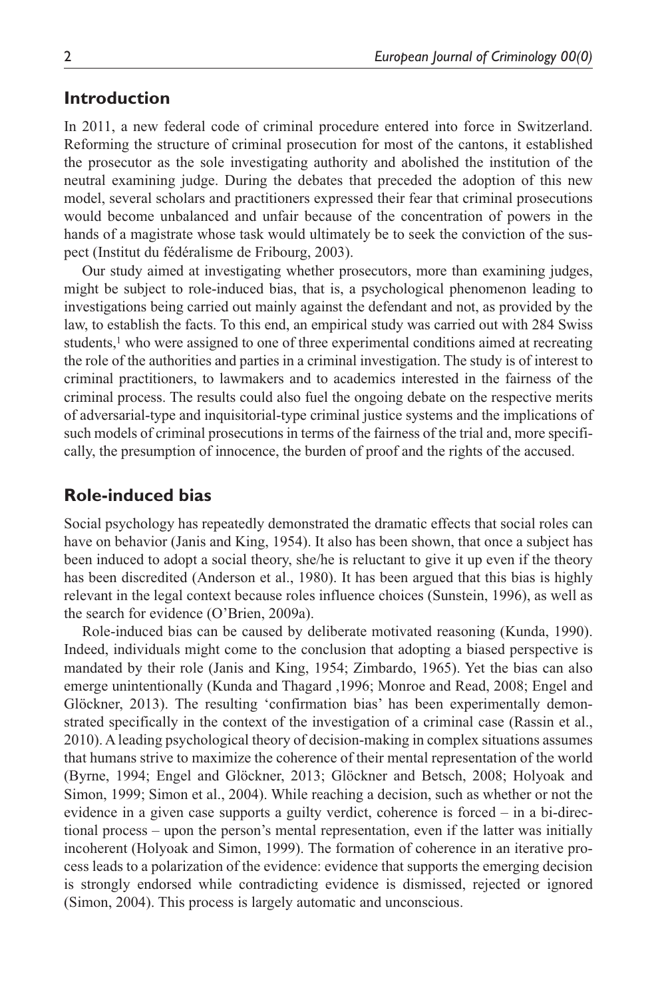## **Introduction**

In 2011, a new federal code of criminal procedure entered into force in Switzerland. Reforming the structure of criminal prosecution for most of the cantons, it established the prosecutor as the sole investigating authority and abolished the institution of the neutral examining judge. During the debates that preceded the adoption of this new model, several scholars and practitioners expressed their fear that criminal prosecutions would become unbalanced and unfair because of the concentration of powers in the hands of a magistrate whose task would ultimately be to seek the conviction of the suspect (Institut du fédéralisme de Fribourg, 2003).

Our study aimed at investigating whether prosecutors, more than examining judges, might be subject to role-induced bias, that is, a psychological phenomenon leading to investigations being carried out mainly against the defendant and not, as provided by the law, to establish the facts. To this end, an empirical study was carried out with 284 Swiss students,<sup>1</sup> who were assigned to one of three experimental conditions aimed at recreating the role of the authorities and parties in a criminal investigation. The study is of interest to criminal practitioners, to lawmakers and to academics interested in the fairness of the criminal process. The results could also fuel the ongoing debate on the respective merits of adversarial-type and inquisitorial-type criminal justice systems and the implications of such models of criminal prosecutions in terms of the fairness of the trial and, more specifically, the presumption of innocence, the burden of proof and the rights of the accused.

## **Role-induced bias**

Social psychology has repeatedly demonstrated the dramatic effects that social roles can have on behavior (Janis and King, 1954). It also has been shown, that once a subject has been induced to adopt a social theory, she/he is reluctant to give it up even if the theory has been discredited (Anderson et al., 1980). It has been argued that this bias is highly relevant in the legal context because roles influence choices (Sunstein, 1996), as well as the search for evidence (O'Brien, 2009a).

Role-induced bias can be caused by deliberate motivated reasoning (Kunda, 1990). Indeed, individuals might come to the conclusion that adopting a biased perspective is mandated by their role (Janis and King, 1954; Zimbardo, 1965). Yet the bias can also emerge unintentionally (Kunda and Thagard ,1996; Monroe and Read, 2008; Engel and Glöckner, 2013). The resulting 'confirmation bias' has been experimentally demonstrated specifically in the context of the investigation of a criminal case (Rassin et al., 2010). A leading psychological theory of decision-making in complex situations assumes that humans strive to maximize the coherence of their mental representation of the world (Byrne, 1994; Engel and Glöckner, 2013; Glöckner and Betsch, 2008; Holyoak and Simon, 1999; Simon et al., 2004). While reaching a decision, such as whether or not the evidence in a given case supports a guilty verdict, coherence is forced – in a bi-directional process – upon the person's mental representation, even if the latter was initially incoherent (Holyoak and Simon, 1999). The formation of coherence in an iterative process leads to a polarization of the evidence: evidence that supports the emerging decision is strongly endorsed while contradicting evidence is dismissed, rejected or ignored (Simon, 2004). This process is largely automatic and unconscious.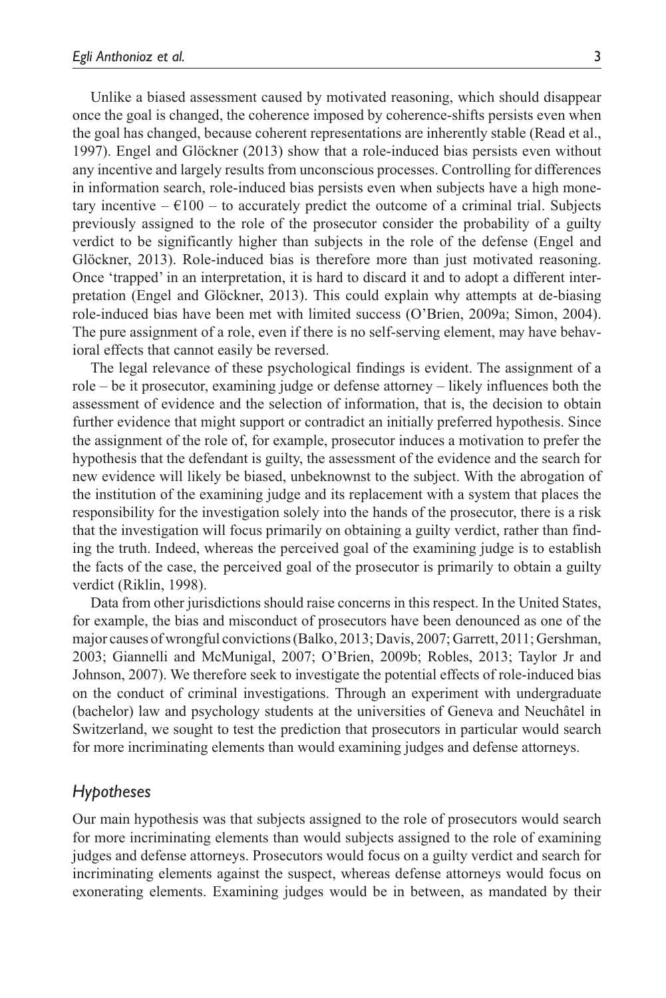Unlike a biased assessment caused by motivated reasoning, which should disappear once the goal is changed, the coherence imposed by coherence-shifts persists even when the goal has changed, because coherent representations are inherently stable (Read et al., 1997). Engel and Glöckner (2013) show that a role-induced bias persists even without any incentive and largely results from unconscious processes. Controlling for differences in information search, role-induced bias persists even when subjects have a high monetary incentive  $-\epsilon 100$  – to accurately predict the outcome of a criminal trial. Subjects previously assigned to the role of the prosecutor consider the probability of a guilty verdict to be significantly higher than subjects in the role of the defense (Engel and Glöckner, 2013). Role-induced bias is therefore more than just motivated reasoning. Once 'trapped' in an interpretation, it is hard to discard it and to adopt a different interpretation (Engel and Glöckner, 2013). This could explain why attempts at de-biasing role-induced bias have been met with limited success (O'Brien, 2009a; Simon, 2004). The pure assignment of a role, even if there is no self-serving element, may have behavioral effects that cannot easily be reversed.

The legal relevance of these psychological findings is evident. The assignment of a role – be it prosecutor, examining judge or defense attorney – likely influences both the assessment of evidence and the selection of information, that is, the decision to obtain further evidence that might support or contradict an initially preferred hypothesis. Since the assignment of the role of, for example, prosecutor induces a motivation to prefer the hypothesis that the defendant is guilty, the assessment of the evidence and the search for new evidence will likely be biased, unbeknownst to the subject. With the abrogation of the institution of the examining judge and its replacement with a system that places the responsibility for the investigation solely into the hands of the prosecutor, there is a risk that the investigation will focus primarily on obtaining a guilty verdict, rather than finding the truth. Indeed, whereas the perceived goal of the examining judge is to establish the facts of the case, the perceived goal of the prosecutor is primarily to obtain a guilty verdict (Riklin, 1998).

Data from other jurisdictions should raise concerns in this respect. In the United States, for example, the bias and misconduct of prosecutors have been denounced as one of the major causes of wrongful convictions (Balko, 2013; Davis, 2007; Garrett, 2011; Gershman, 2003; Giannelli and McMunigal, 2007; O'Brien, 2009b; Robles, 2013; Taylor Jr and Johnson, 2007). We therefore seek to investigate the potential effects of role-induced bias on the conduct of criminal investigations. Through an experiment with undergraduate (bachelor) law and psychology students at the universities of Geneva and Neuchâtel in Switzerland, we sought to test the prediction that prosecutors in particular would search for more incriminating elements than would examining judges and defense attorneys.

#### *Hypotheses*

Our main hypothesis was that subjects assigned to the role of prosecutors would search for more incriminating elements than would subjects assigned to the role of examining judges and defense attorneys. Prosecutors would focus on a guilty verdict and search for incriminating elements against the suspect, whereas defense attorneys would focus on exonerating elements. Examining judges would be in between, as mandated by their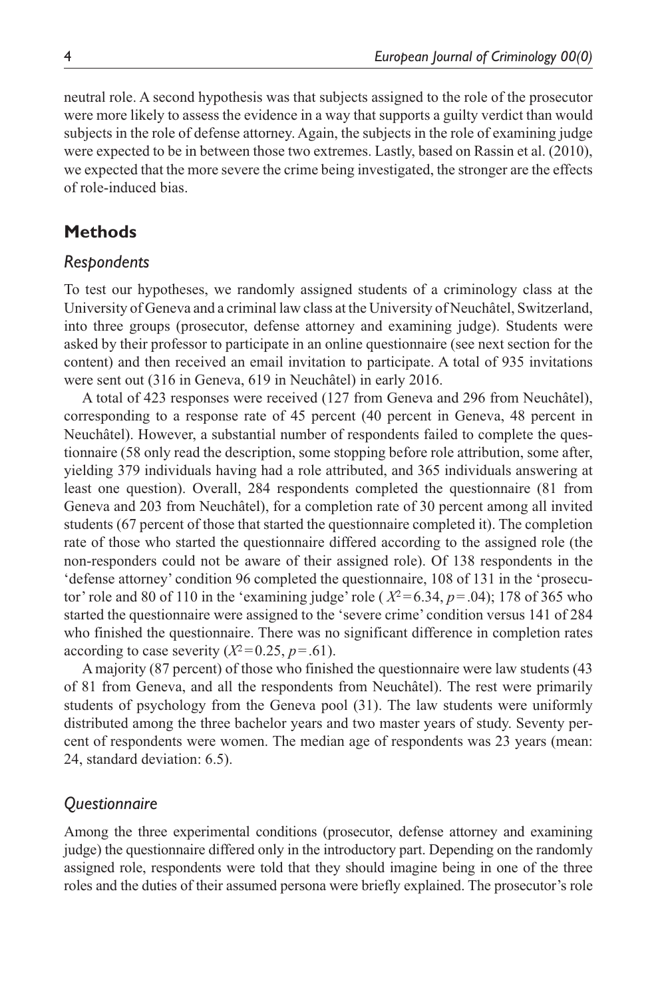neutral role. A second hypothesis was that subjects assigned to the role of the prosecutor were more likely to assess the evidence in a way that supports a guilty verdict than would subjects in the role of defense attorney. Again, the subjects in the role of examining judge were expected to be in between those two extremes. Lastly, based on Rassin et al. (2010), we expected that the more severe the crime being investigated, the stronger are the effects of role-induced bias.

## **Methods**

#### *Respondents*

To test our hypotheses, we randomly assigned students of a criminology class at the University of Geneva and a criminal law class at the University of Neuchâtel, Switzerland, into three groups (prosecutor, defense attorney and examining judge). Students were asked by their professor to participate in an online questionnaire (see next section for the content) and then received an email invitation to participate. A total of 935 invitations were sent out (316 in Geneva, 619 in Neuchâtel) in early 2016.

A total of 423 responses were received (127 from Geneva and 296 from Neuchâtel), corresponding to a response rate of 45 percent (40 percent in Geneva, 48 percent in Neuchâtel). However, a substantial number of respondents failed to complete the questionnaire (58 only read the description, some stopping before role attribution, some after, yielding 379 individuals having had a role attributed, and 365 individuals answering at least one question). Overall, 284 respondents completed the questionnaire (81 from Geneva and 203 from Neuchâtel), for a completion rate of 30 percent among all invited students (67 percent of those that started the questionnaire completed it). The completion rate of those who started the questionnaire differed according to the assigned role (the non-responders could not be aware of their assigned role). Of 138 respondents in the 'defense attorney' condition 96 completed the questionnaire, 108 of 131 in the 'prosecutor' role and 80 of 110 in the 'examining judge' role ( $X^2$ =6.34,  $p$ =.04); 178 of 365 who started the questionnaire were assigned to the 'severe crime' condition versus 141 of 284 who finished the questionnaire. There was no significant difference in completion rates according to case severity  $(X^2=0.25, p=.61)$ .

A majority (87 percent) of those who finished the questionnaire were law students (43 of 81 from Geneva, and all the respondents from Neuchâtel). The rest were primarily students of psychology from the Geneva pool (31). The law students were uniformly distributed among the three bachelor years and two master years of study. Seventy percent of respondents were women. The median age of respondents was 23 years (mean: 24, standard deviation: 6.5).

#### *Questionnaire*

Among the three experimental conditions (prosecutor, defense attorney and examining judge) the questionnaire differed only in the introductory part. Depending on the randomly assigned role, respondents were told that they should imagine being in one of the three roles and the duties of their assumed persona were briefly explained. The prosecutor's role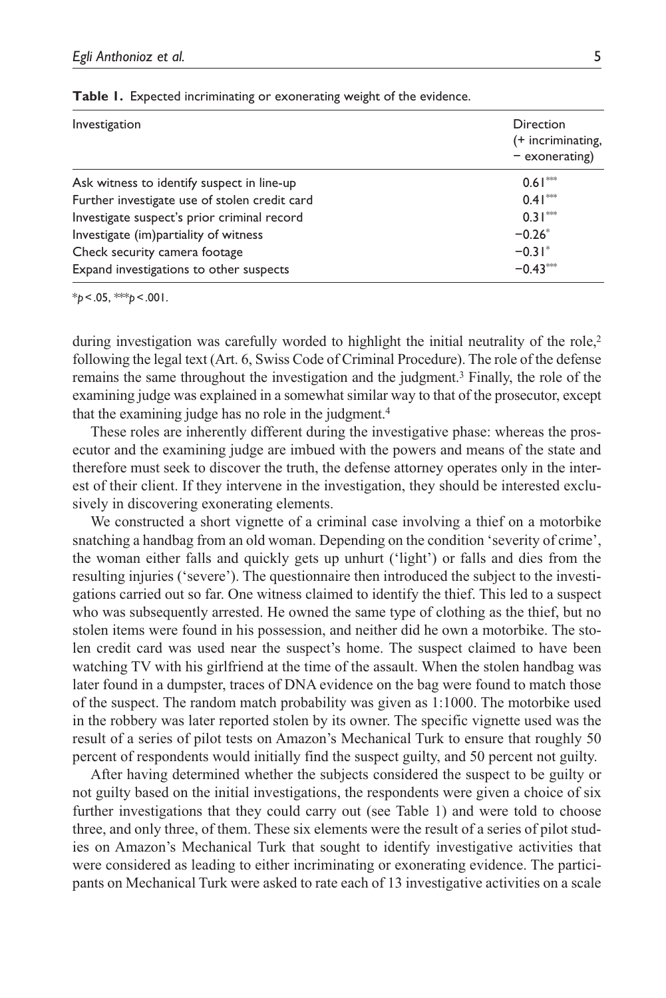| Investigation                                 | Direction<br>(+ incriminating,<br>$-$ exonerating) |
|-----------------------------------------------|----------------------------------------------------|
| Ask witness to identify suspect in line-up    | $0.61***$                                          |
| Further investigate use of stolen credit card | $0.41***$                                          |
| Investigate suspect's prior criminal record   | $0.31***$                                          |
| Investigate (im)partiality of witness         | $-0.26*$                                           |
| Check security camera footage                 | $-0.31*$                                           |
| Expand investigations to other suspects       | $-0.43***$                                         |

#### **Table 1.** Expected incriminating or exonerating weight of the evidence.

\**p*<.05, \*\*\**p*<.001.

during investigation was carefully worded to highlight the initial neutrality of the role,<sup>2</sup> following the legal text (Art. 6, Swiss Code of Criminal Procedure). The role of the defense remains the same throughout the investigation and the judgment.3 Finally, the role of the examining judge was explained in a somewhat similar way to that of the prosecutor, except that the examining judge has no role in the judgment.4

These roles are inherently different during the investigative phase: whereas the prosecutor and the examining judge are imbued with the powers and means of the state and therefore must seek to discover the truth, the defense attorney operates only in the interest of their client. If they intervene in the investigation, they should be interested exclusively in discovering exonerating elements.

We constructed a short vignette of a criminal case involving a thief on a motorbike snatching a handbag from an old woman. Depending on the condition 'severity of crime', the woman either falls and quickly gets up unhurt ('light') or falls and dies from the resulting injuries ('severe'). The questionnaire then introduced the subject to the investigations carried out so far. One witness claimed to identify the thief. This led to a suspect who was subsequently arrested. He owned the same type of clothing as the thief, but no stolen items were found in his possession, and neither did he own a motorbike. The stolen credit card was used near the suspect's home. The suspect claimed to have been watching TV with his girlfriend at the time of the assault. When the stolen handbag was later found in a dumpster, traces of DNA evidence on the bag were found to match those of the suspect. The random match probability was given as 1:1000. The motorbike used in the robbery was later reported stolen by its owner. The specific vignette used was the result of a series of pilot tests on Amazon's Mechanical Turk to ensure that roughly 50 percent of respondents would initially find the suspect guilty, and 50 percent not guilty.

After having determined whether the subjects considered the suspect to be guilty or not guilty based on the initial investigations, the respondents were given a choice of six further investigations that they could carry out (see Table 1) and were told to choose three, and only three, of them. These six elements were the result of a series of pilot studies on Amazon's Mechanical Turk that sought to identify investigative activities that were considered as leading to either incriminating or exonerating evidence. The participants on Mechanical Turk were asked to rate each of 13 investigative activities on a scale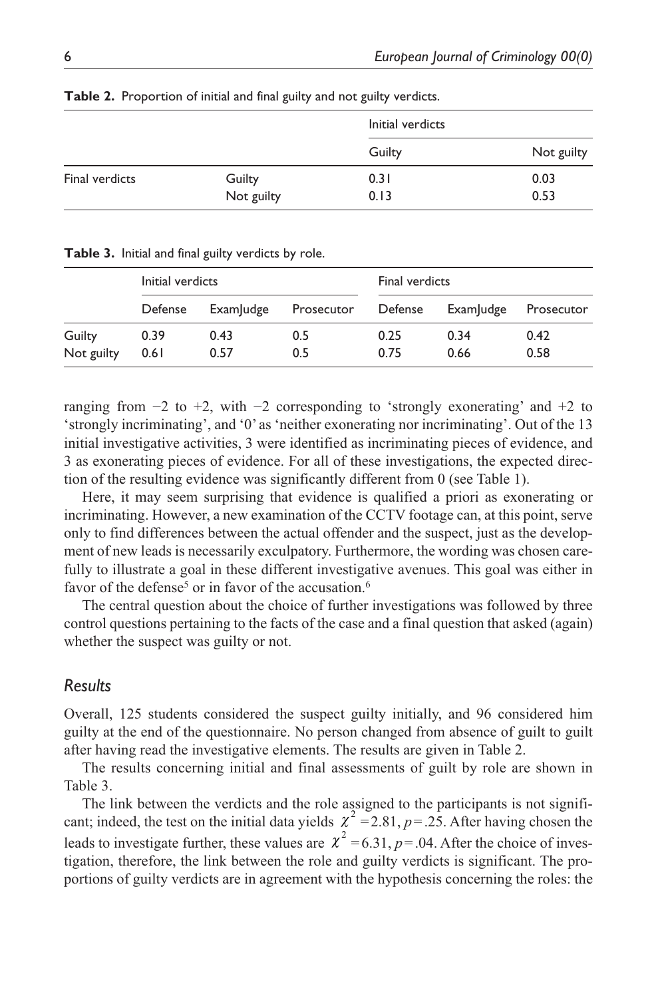|                |            | Initial verdicts |            |
|----------------|------------|------------------|------------|
|                |            | Guilty           | Not guilty |
| Final verdicts | Guilty     | 0.31             | 0.03       |
|                | Not guilty | 0.13             | 0.53       |

**Table 2.** Proportion of initial and final guilty and not guilty verdicts.

**Table 3.** Initial and final guilty verdicts by role.

|            | Initial verdicts |           |            | Final verdicts |            |            |
|------------|------------------|-----------|------------|----------------|------------|------------|
|            | Defense          | Exam udge | Prosecutor | Defense        | Exam Judge | Prosecutor |
| Guilty     | 0.39             | 0.43      | 0.5        | 0.25           | 0.34       | 0.42       |
| Not guilty | 0.61             | 0.57      | 0.5        | 0.75           | 0.66       | 0.58       |

ranging from  $-2$  to  $+2$ , with  $-2$  corresponding to 'strongly exonerating' and  $+2$  to 'strongly incriminating', and '0' as 'neither exonerating nor incriminating'. Out of the 13 initial investigative activities, 3 were identified as incriminating pieces of evidence, and 3 as exonerating pieces of evidence. For all of these investigations, the expected direction of the resulting evidence was significantly different from 0 (see Table 1).

Here, it may seem surprising that evidence is qualified a priori as exonerating or incriminating. However, a new examination of the CCTV footage can, at this point, serve only to find differences between the actual offender and the suspect, just as the development of new leads is necessarily exculpatory. Furthermore, the wording was chosen carefully to illustrate a goal in these different investigative avenues. This goal was either in favor of the defense<sup>5</sup> or in favor of the accusation.<sup>6</sup>

The central question about the choice of further investigations was followed by three control questions pertaining to the facts of the case and a final question that asked (again) whether the suspect was guilty or not.

### *Results*

Overall, 125 students considered the suspect guilty initially, and 96 considered him guilty at the end of the questionnaire. No person changed from absence of guilt to guilt after having read the investigative elements. The results are given in Table 2.

The results concerning initial and final assessments of guilt by role are shown in Table 3.

The link between the verdicts and the role assigned to the participants is not significant; indeed, the test on the initial data yields  $\chi^2 = 2.81$ ,  $p = .25$ . After having chosen the leads to investigate further, these values are  $\chi^2$  = 6.31, *p* = .04. After the choice of investigation, therefore, the link between the role and guilty verdicts is significant. The proportions of guilty verdicts are in agreement with the hypothesis concerning the roles: the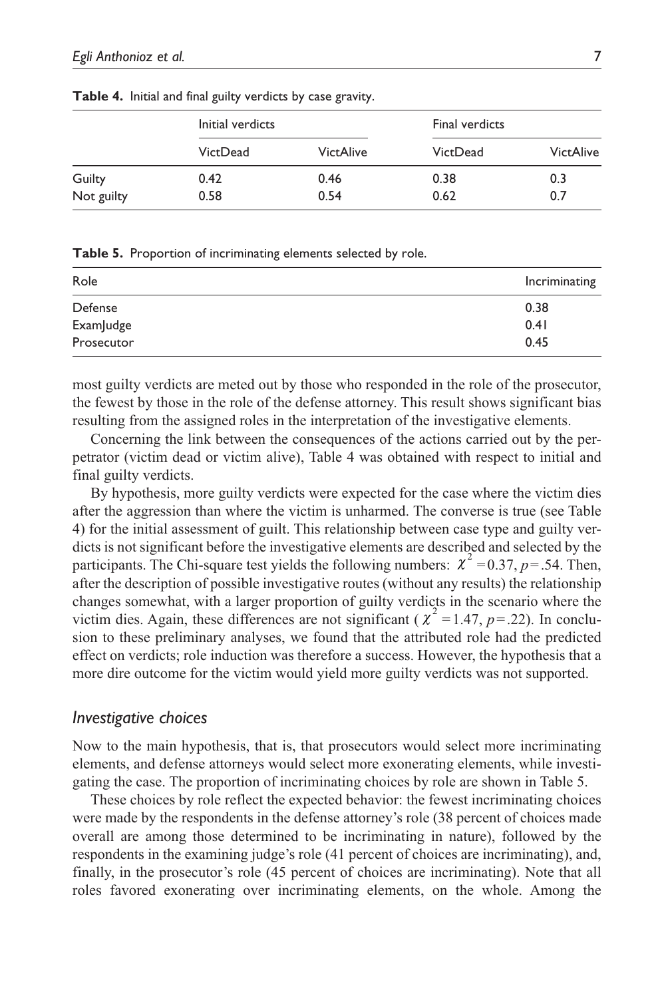|            | Initial verdicts |                  | <b>Final verdicts</b> |                  |
|------------|------------------|------------------|-----------------------|------------------|
|            | VictDead         | <b>VictAlive</b> | VictDead              | <b>VictAlive</b> |
| Guilty     | 0.42             | 0.46             | 0.38                  | 0.3              |
| Not guilty | 0.58             | 0.54             | 0.62                  | 0.7              |

**Table 4.** Initial and final guilty verdicts by case gravity.

**Table 5.** Proportion of incriminating elements selected by role.

| Role       | Incriminating |
|------------|---------------|
| Defense    | 0.38          |
| ExamJudge  | 0.41          |
| Prosecutor | 0.45          |

most guilty verdicts are meted out by those who responded in the role of the prosecutor, the fewest by those in the role of the defense attorney. This result shows significant bias resulting from the assigned roles in the interpretation of the investigative elements.

Concerning the link between the consequences of the actions carried out by the perpetrator (victim dead or victim alive), Table 4 was obtained with respect to initial and final guilty verdicts.

By hypothesis, more guilty verdicts were expected for the case where the victim dies after the aggression than where the victim is unharmed. The converse is true (see Table 4) for the initial assessment of guilt. This relationship between case type and guilty verdicts is not significant before the investigative elements are described and selected by the participants. The Chi-square test yields the following numbers:  $\chi^2 = 0.37$ ,  $p = .54$ . Then, after the description of possible investigative routes (without any results) the relationship changes somewhat, with a larger proportion of guilty verdicts in the scenario where the victim dies. Again, these differences are not significant ( $\chi^2$  = 1.47, *p* = .22). In conclusion to these preliminary analyses, we found that the attributed role had the predicted effect on verdicts; role induction was therefore a success. However, the hypothesis that a more dire outcome for the victim would yield more guilty verdicts was not supported.

#### *Investigative choices*

Now to the main hypothesis, that is, that prosecutors would select more incriminating elements, and defense attorneys would select more exonerating elements, while investigating the case. The proportion of incriminating choices by role are shown in Table 5.

These choices by role reflect the expected behavior: the fewest incriminating choices were made by the respondents in the defense attorney's role (38 percent of choices made overall are among those determined to be incriminating in nature), followed by the respondents in the examining judge's role (41 percent of choices are incriminating), and, finally, in the prosecutor's role (45 percent of choices are incriminating). Note that all roles favored exonerating over incriminating elements, on the whole. Among the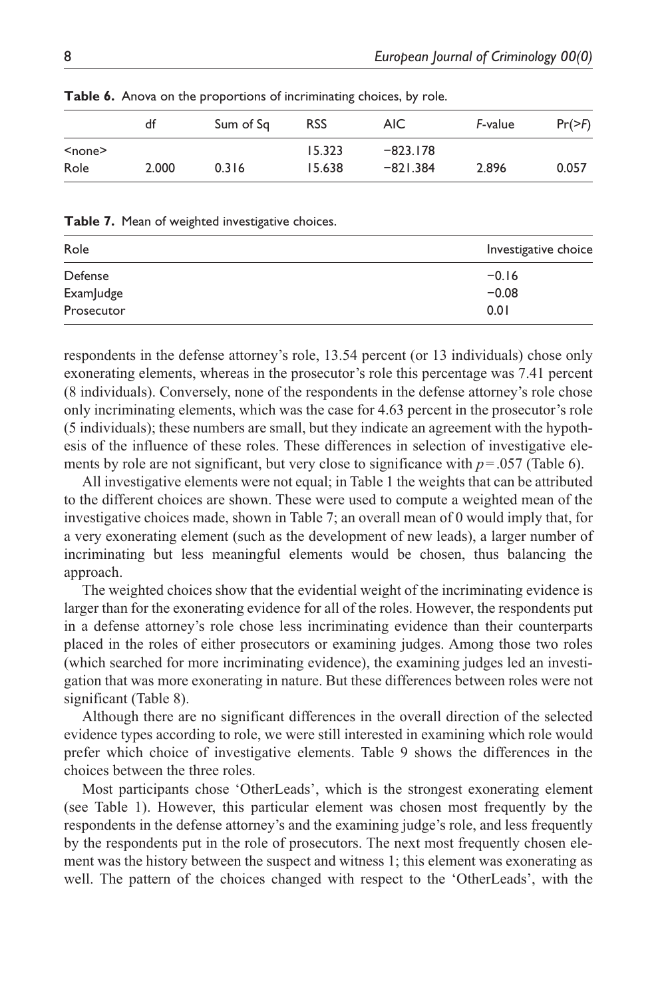|               | df    | Sum of Sq | <b>RSS</b> | AIC.       | <i>F</i> -value | $Pr(>=F)$ |
|---------------|-------|-----------|------------|------------|-----------------|-----------|
| <none></none> |       |           | 15.323     | $-823.178$ |                 |           |
| Role          | 2.000 | 0.316     | 15.638     | $-821.384$ | 2.896           | 0.057     |

Table 6. Anova on the proportions of incriminating choices, by role.

**Table 7.** Mean of weighted investigative choices.

| Role       | Investigative choice |
|------------|----------------------|
| Defense    | $-0.16$              |
| ExamJudge  | $-0.08$              |
| Prosecutor | 0.01                 |

respondents in the defense attorney's role, 13.54 percent (or 13 individuals) chose only exonerating elements, whereas in the prosecutor's role this percentage was 7.41 percent (8 individuals). Conversely, none of the respondents in the defense attorney's role chose only incriminating elements, which was the case for 4.63 percent in the prosecutor's role (5 individuals); these numbers are small, but they indicate an agreement with the hypothesis of the influence of these roles. These differences in selection of investigative elements by role are not significant, but very close to significance with  $p = .057$  (Table 6).

All investigative elements were not equal; in Table 1 the weights that can be attributed to the different choices are shown. These were used to compute a weighted mean of the investigative choices made, shown in Table 7; an overall mean of 0 would imply that, for a very exonerating element (such as the development of new leads), a larger number of incriminating but less meaningful elements would be chosen, thus balancing the approach.

The weighted choices show that the evidential weight of the incriminating evidence is larger than for the exonerating evidence for all of the roles. However, the respondents put in a defense attorney's role chose less incriminating evidence than their counterparts placed in the roles of either prosecutors or examining judges. Among those two roles (which searched for more incriminating evidence), the examining judges led an investigation that was more exonerating in nature. But these differences between roles were not significant (Table 8).

Although there are no significant differences in the overall direction of the selected evidence types according to role, we were still interested in examining which role would prefer which choice of investigative elements. Table 9 shows the differences in the choices between the three roles.

Most participants chose 'OtherLeads', which is the strongest exonerating element (see Table 1). However, this particular element was chosen most frequently by the respondents in the defense attorney's and the examining judge's role, and less frequently by the respondents put in the role of prosecutors. The next most frequently chosen element was the history between the suspect and witness 1; this element was exonerating as well. The pattern of the choices changed with respect to the 'OtherLeads', with the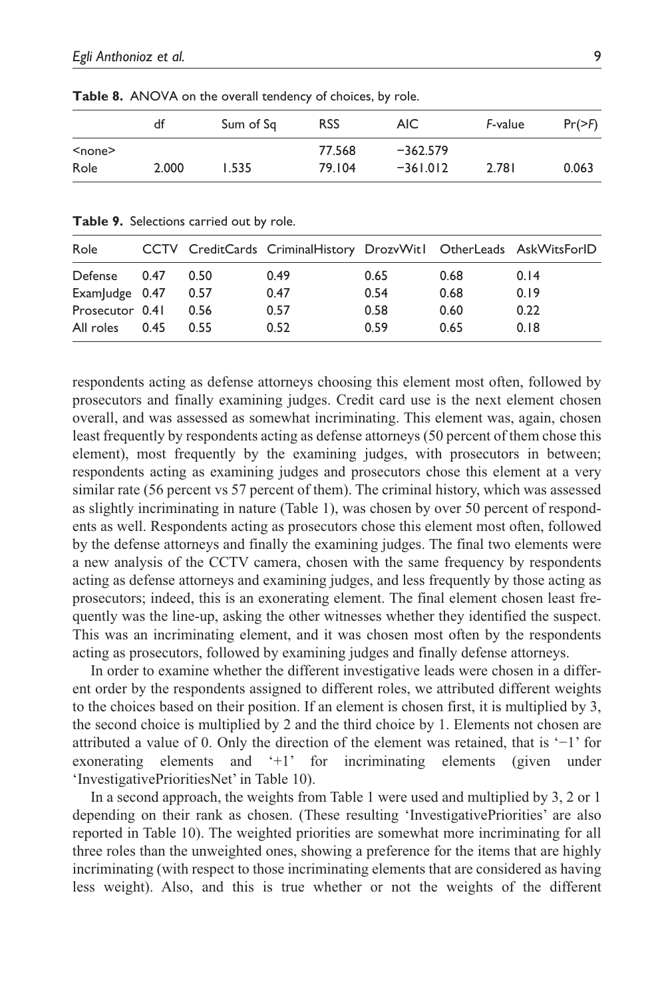|        | df    | Sum of Sq | <b>RSS</b> | AIC.       | <i>F</i> -value | $Pr(>=F)$ |
|--------|-------|-----------|------------|------------|-----------------|-----------|
| $none$ |       |           | 77.568     | $-362.579$ |                 |           |
| Role   | 2.000 | 1.535     | 79.104     | $-361.012$ | 2.781           | 0.063     |

**Table 8.** ANOVA on the overall tendency of choices, by role.

**Table 9.** Selections carried out by role.

| Role            |      |      | CCTV CreditCards CriminalHistory DrozvWit1 OtherLeads AskWitsForID |      |      |      |
|-----------------|------|------|--------------------------------------------------------------------|------|------|------|
| Defense         | 0.47 | 0.50 | 0.49                                                               | 0.65 | 0.68 | 0.14 |
| Exam Judge 0.47 |      | 0.57 | 0.47                                                               | 0.54 | 0.68 | 0.19 |
| Prosecutor 0.41 |      | 0.56 | 0.57                                                               | 0.58 | 0.60 | 0.22 |
| All roles 0.45  |      | 0.55 | 0.52                                                               | 0.59 | 0.65 | 0.18 |

respondents acting as defense attorneys choosing this element most often, followed by prosecutors and finally examining judges. Credit card use is the next element chosen overall, and was assessed as somewhat incriminating. This element was, again, chosen least frequently by respondents acting as defense attorneys (50 percent of them chose this element), most frequently by the examining judges, with prosecutors in between; respondents acting as examining judges and prosecutors chose this element at a very similar rate (56 percent vs 57 percent of them). The criminal history, which was assessed as slightly incriminating in nature (Table 1), was chosen by over 50 percent of respondents as well. Respondents acting as prosecutors chose this element most often, followed by the defense attorneys and finally the examining judges. The final two elements were a new analysis of the CCTV camera, chosen with the same frequency by respondents acting as defense attorneys and examining judges, and less frequently by those acting as prosecutors; indeed, this is an exonerating element. The final element chosen least frequently was the line-up, asking the other witnesses whether they identified the suspect. This was an incriminating element, and it was chosen most often by the respondents acting as prosecutors, followed by examining judges and finally defense attorneys.

In order to examine whether the different investigative leads were chosen in a different order by the respondents assigned to different roles, we attributed different weights to the choices based on their position. If an element is chosen first, it is multiplied by 3, the second choice is multiplied by 2 and the third choice by 1. Elements not chosen are attributed a value of 0. Only the direction of the element was retained, that is '−1' for exonerating elements and '+1' for incriminating elements (given under 'InvestigativePrioritiesNet' in Table 10).

In a second approach, the weights from Table 1 were used and multiplied by 3, 2 or 1 depending on their rank as chosen. (These resulting 'InvestigativePriorities' are also reported in Table 10). The weighted priorities are somewhat more incriminating for all three roles than the unweighted ones, showing a preference for the items that are highly incriminating (with respect to those incriminating elements that are considered as having less weight). Also, and this is true whether or not the weights of the different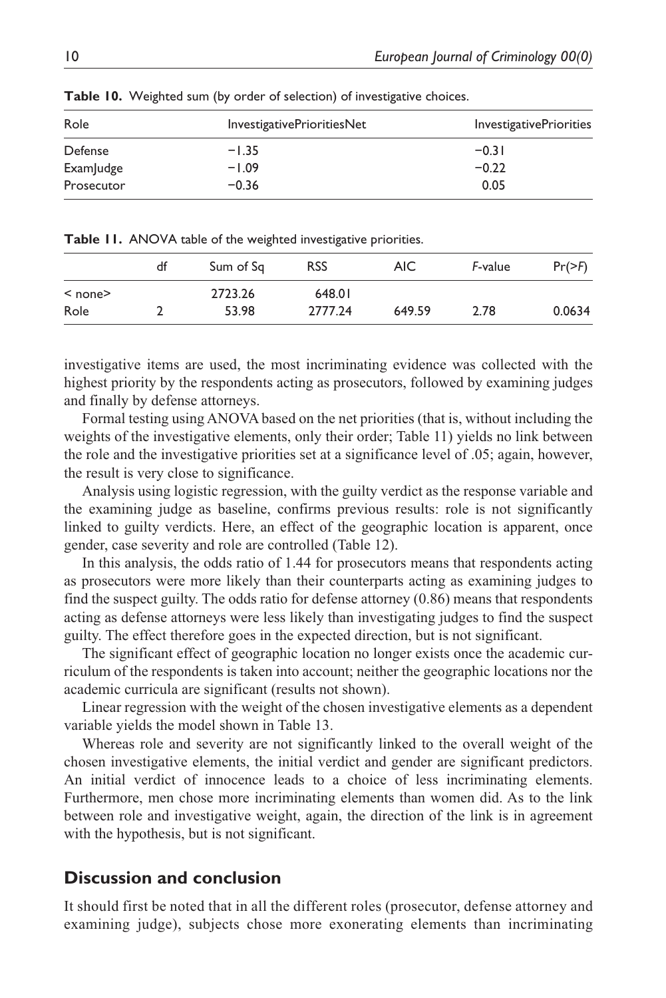| Role       | InvestigativePrioritiesNet | <b>InvestigativePriorities</b> |
|------------|----------------------------|--------------------------------|
| Defense    | $-1.35$                    | $-0.31$                        |
| Exam Judge | $-1.09$                    | $-0.22$                        |
| Prosecutor | $-0.36$                    | 0.05                           |

**Table 10.** Weighted sum (by order of selection) of investigative choices.

**Table 11.** ANOVA table of the weighted investigative priorities.

|              | df | Sum of Sq | <b>RSS</b> | AIC    | <i>F</i> -value | $Pr(>=F)$ |
|--------------|----|-----------|------------|--------|-----------------|-----------|
| $<$ none $>$ |    | 2723.26   | 648.01     |        |                 |           |
| Role         |    | 53.98     | 2777.24    | 649.59 | 2.78            | 0.0634    |

investigative items are used, the most incriminating evidence was collected with the highest priority by the respondents acting as prosecutors, followed by examining judges and finally by defense attorneys.

Formal testing using ANOVA based on the net priorities (that is, without including the weights of the investigative elements, only their order; Table 11) yields no link between the role and the investigative priorities set at a significance level of .05; again, however, the result is very close to significance.

Analysis using logistic regression, with the guilty verdict as the response variable and the examining judge as baseline, confirms previous results: role is not significantly linked to guilty verdicts. Here, an effect of the geographic location is apparent, once gender, case severity and role are controlled (Table 12).

In this analysis, the odds ratio of 1.44 for prosecutors means that respondents acting as prosecutors were more likely than their counterparts acting as examining judges to find the suspect guilty. The odds ratio for defense attorney (0.86) means that respondents acting as defense attorneys were less likely than investigating judges to find the suspect guilty. The effect therefore goes in the expected direction, but is not significant.

The significant effect of geographic location no longer exists once the academic curriculum of the respondents is taken into account; neither the geographic locations nor the academic curricula are significant (results not shown).

Linear regression with the weight of the chosen investigative elements as a dependent variable yields the model shown in Table 13.

Whereas role and severity are not significantly linked to the overall weight of the chosen investigative elements, the initial verdict and gender are significant predictors. An initial verdict of innocence leads to a choice of less incriminating elements. Furthermore, men chose more incriminating elements than women did. As to the link between role and investigative weight, again, the direction of the link is in agreement with the hypothesis, but is not significant.

## **Discussion and conclusion**

It should first be noted that in all the different roles (prosecutor, defense attorney and examining judge), subjects chose more exonerating elements than incriminating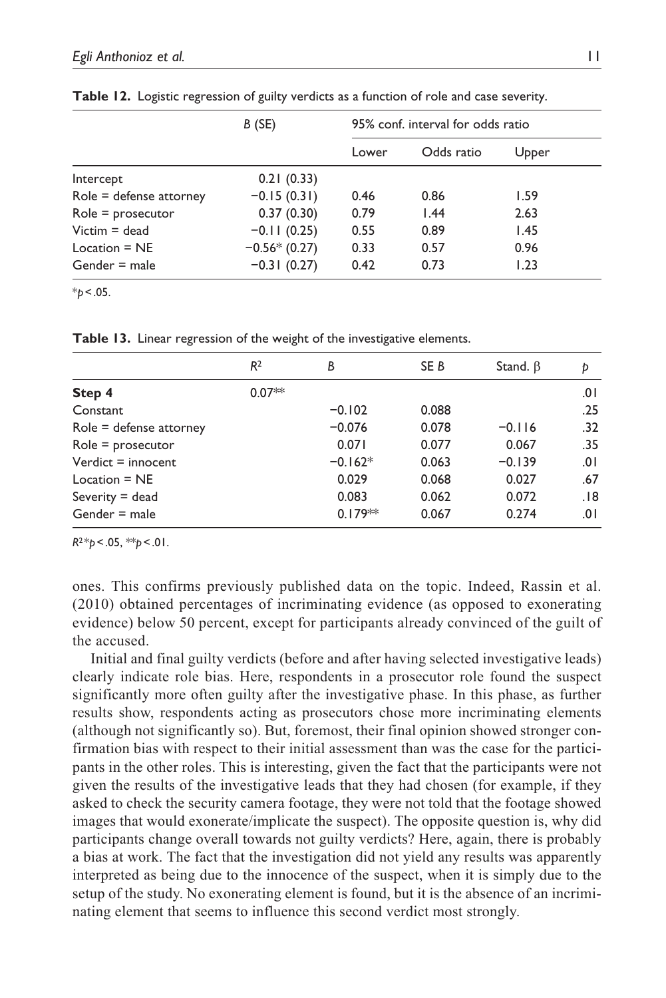|                           | B(SE)          | 95% conf. interval for odds ratio |            |       |
|---------------------------|----------------|-----------------------------------|------------|-------|
|                           |                | Lower                             | Odds ratio | Upper |
| Intercept                 | 0.21(0.33)     |                                   |            |       |
| $Role =$ defense attorney | $-0.15(0.31)$  | 0.46                              | 0.86       | 1.59  |
| $Role = prosecutor$       | 0.37(0.30)     | 0.79                              | 1.44       | 2.63  |
| $Victim = dead$           | $-0.11(0.25)$  | 0.55                              | 0.89       | 1.45  |
| $Location = NE$           | $-0.56*(0.27)$ | 0.33                              | 0.57       | 0.96  |
| Gender $=$ male           | $-0.31(0.27)$  | 0.42                              | 0.73       | 1.23  |

**Table 12.** Logistic regression of guilty verdicts as a function of role and case severity.

\**p*<.05.

**Table 13.** Linear regression of the weight of the investigative elements.

|                           | R <sup>2</sup> | B         | SE B  | Stand. $\beta$ | Þ   |
|---------------------------|----------------|-----------|-------|----------------|-----|
| Step 4                    | $0.07**$       |           |       |                | 0۱. |
| Constant                  |                | $-0.102$  | 0.088 |                | .25 |
| $Role =$ defense attorney |                | $-0.076$  | 0.078 | $-0.116$       | .32 |
| $Role = prosecutor$       |                | 0.071     | 0.077 | 0.067          | .35 |
| Verdict $=$ innocent      |                | $-0.162*$ | 0.063 | $-0.139$       | 0١. |
| Location $=$ NE           |                | 0.029     | 0.068 | 0.027          | .67 |
| Severity $=$ dead         |                | 0.083     | 0.062 | 0.072          | 18. |
| Gender $=$ male           |                | $0.179**$ | 0.067 | 0.274          | 0١. |
|                           |                |           |       |                |     |

*R*<sup>2</sup> \**p*<.05, \*\**p*<.01.

ones. This confirms previously published data on the topic. Indeed, Rassin et al. (2010) obtained percentages of incriminating evidence (as opposed to exonerating evidence) below 50 percent, except for participants already convinced of the guilt of the accused.

Initial and final guilty verdicts (before and after having selected investigative leads) clearly indicate role bias. Here, respondents in a prosecutor role found the suspect significantly more often guilty after the investigative phase. In this phase, as further results show, respondents acting as prosecutors chose more incriminating elements (although not significantly so). But, foremost, their final opinion showed stronger confirmation bias with respect to their initial assessment than was the case for the participants in the other roles. This is interesting, given the fact that the participants were not given the results of the investigative leads that they had chosen (for example, if they asked to check the security camera footage, they were not told that the footage showed images that would exonerate/implicate the suspect). The opposite question is, why did participants change overall towards not guilty verdicts? Here, again, there is probably a bias at work. The fact that the investigation did not yield any results was apparently interpreted as being due to the innocence of the suspect, when it is simply due to the setup of the study. No exonerating element is found, but it is the absence of an incriminating element that seems to influence this second verdict most strongly.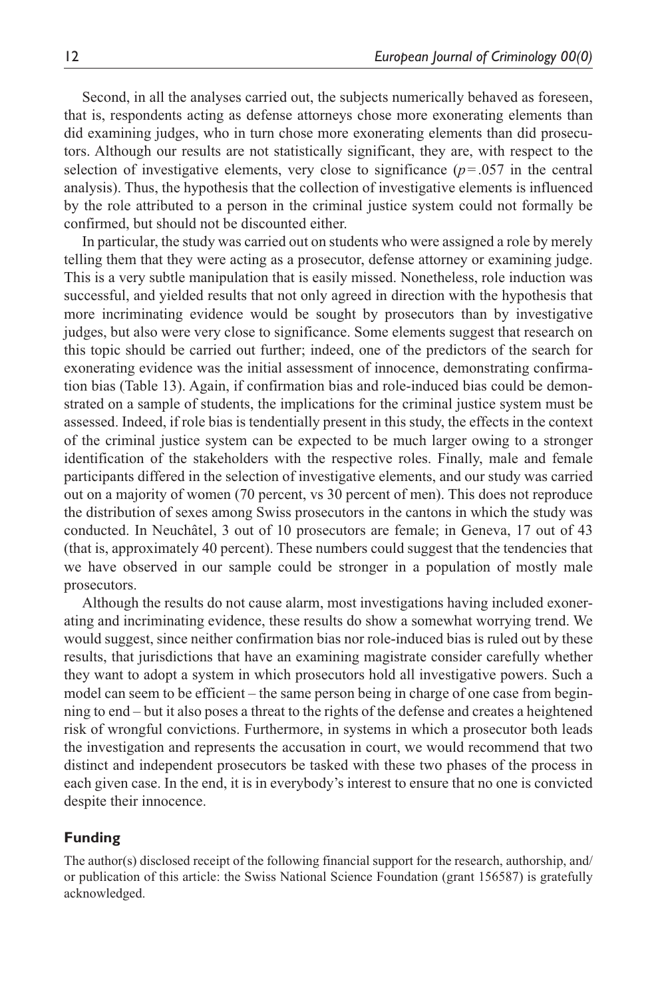Second, in all the analyses carried out, the subjects numerically behaved as foreseen, that is, respondents acting as defense attorneys chose more exonerating elements than did examining judges, who in turn chose more exonerating elements than did prosecutors. Although our results are not statistically significant, they are, with respect to the selection of investigative elements, very close to significance  $(p=0.057)$  in the central analysis). Thus, the hypothesis that the collection of investigative elements is influenced by the role attributed to a person in the criminal justice system could not formally be confirmed, but should not be discounted either.

In particular, the study was carried out on students who were assigned a role by merely telling them that they were acting as a prosecutor, defense attorney or examining judge. This is a very subtle manipulation that is easily missed. Nonetheless, role induction was successful, and yielded results that not only agreed in direction with the hypothesis that more incriminating evidence would be sought by prosecutors than by investigative judges, but also were very close to significance. Some elements suggest that research on this topic should be carried out further; indeed, one of the predictors of the search for exonerating evidence was the initial assessment of innocence, demonstrating confirmation bias (Table 13). Again, if confirmation bias and role-induced bias could be demonstrated on a sample of students, the implications for the criminal justice system must be assessed. Indeed, if role bias is tendentially present in this study, the effects in the context of the criminal justice system can be expected to be much larger owing to a stronger identification of the stakeholders with the respective roles. Finally, male and female participants differed in the selection of investigative elements, and our study was carried out on a majority of women (70 percent, vs 30 percent of men). This does not reproduce the distribution of sexes among Swiss prosecutors in the cantons in which the study was conducted. In Neuchâtel, 3 out of 10 prosecutors are female; in Geneva, 17 out of 43 (that is, approximately 40 percent). These numbers could suggest that the tendencies that we have observed in our sample could be stronger in a population of mostly male prosecutors.

Although the results do not cause alarm, most investigations having included exonerating and incriminating evidence, these results do show a somewhat worrying trend. We would suggest, since neither confirmation bias nor role-induced bias is ruled out by these results, that jurisdictions that have an examining magistrate consider carefully whether they want to adopt a system in which prosecutors hold all investigative powers. Such a model can seem to be efficient – the same person being in charge of one case from beginning to end – but it also poses a threat to the rights of the defense and creates a heightened risk of wrongful convictions. Furthermore, in systems in which a prosecutor both leads the investigation and represents the accusation in court, we would recommend that two distinct and independent prosecutors be tasked with these two phases of the process in each given case. In the end, it is in everybody's interest to ensure that no one is convicted despite their innocence.

#### **Funding**

The author(s) disclosed receipt of the following financial support for the research, authorship, and/ or publication of this article: the Swiss National Science Foundation (grant 156587) is gratefully acknowledged.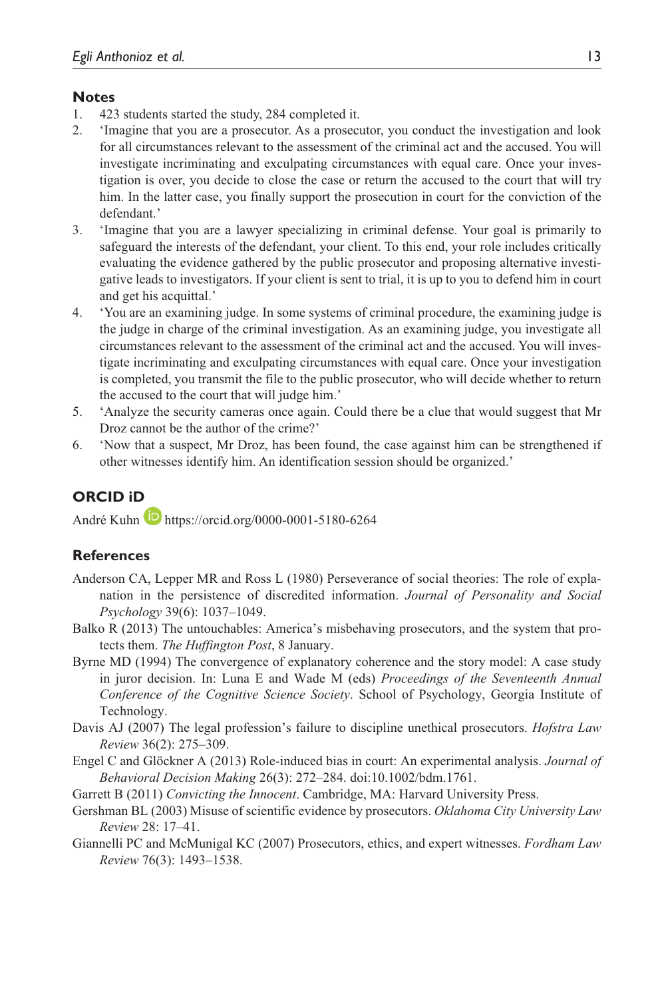#### **Notes**

- 1. 423 students started the study, 284 completed it.
- 2. 'Imagine that you are a prosecutor. As a prosecutor, you conduct the investigation and look for all circumstances relevant to the assessment of the criminal act and the accused. You will investigate incriminating and exculpating circumstances with equal care. Once your investigation is over, you decide to close the case or return the accused to the court that will try him. In the latter case, you finally support the prosecution in court for the conviction of the defendant.'
- 3. 'Imagine that you are a lawyer specializing in criminal defense. Your goal is primarily to safeguard the interests of the defendant, your client. To this end, your role includes critically evaluating the evidence gathered by the public prosecutor and proposing alternative investigative leads to investigators. If your client is sent to trial, it is up to you to defend him in court and get his acquittal.'
- 4. 'You are an examining judge. In some systems of criminal procedure, the examining judge is the judge in charge of the criminal investigation. As an examining judge, you investigate all circumstances relevant to the assessment of the criminal act and the accused. You will investigate incriminating and exculpating circumstances with equal care. Once your investigation is completed, you transmit the file to the public prosecutor, who will decide whether to return the accused to the court that will judge him.'
- 5. 'Analyze the security cameras once again. Could there be a clue that would suggest that Mr Droz cannot be the author of the crime?'
- 6. 'Now that a suspect, Mr Droz, has been found, the case against him can be strengthened if other witnesses identify him. An identification session should be organized.'

## **ORCID iD**

André Kuhn **h**ttps://orcid.org/0000-0001-5180-6264

#### **References**

- Anderson CA, Lepper MR and Ross L (1980) Perseverance of social theories: The role of explanation in the persistence of discredited information. *Journal of Personality and Social Psychology* 39(6): 1037–1049.
- Balko R (2013) The untouchables: America's misbehaving prosecutors, and the system that protects them. *The Huffington Post*, 8 January.
- Byrne MD (1994) The convergence of explanatory coherence and the story model: A case study in juror decision. In: Luna E and Wade M (eds) *Proceedings of the Seventeenth Annual Conference of the Cognitive Science Society*. School of Psychology, Georgia Institute of Technology.
- Davis AJ (2007) The legal profession's failure to discipline unethical prosecutors. *Hofstra Law Review* 36(2): 275–309.
- Engel C and Glöckner A (2013) Role-induced bias in court: An experimental analysis. *Journal of Behavioral Decision Making* 26(3): 272–284. doi:10.1002/bdm.1761.
- Garrett B (2011) *Convicting the Innocent*. Cambridge, MA: Harvard University Press.
- Gershman BL (2003) Misuse of scientific evidence by prosecutors. *Oklahoma City University Law Review* 28: 17–41.
- Giannelli PC and McMunigal KC (2007) Prosecutors, ethics, and expert witnesses. *Fordham Law Review* 76(3): 1493–1538.